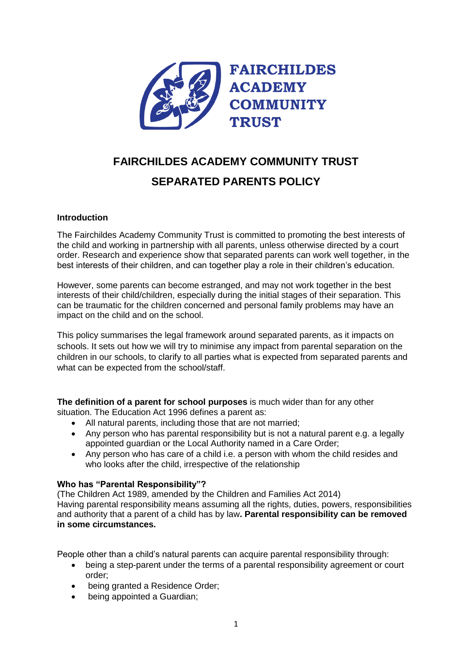

# **FAIRCHILDES ACADEMY COMMUNITY TRUST SEPARATED PARENTS POLICY**

### **Introduction**

The Fairchildes Academy Community Trust is committed to promoting the best interests of the child and working in partnership with all parents, unless otherwise directed by a court order. Research and experience show that separated parents can work well together, in the best interests of their children, and can together play a role in their children's education.

However, some parents can become estranged, and may not work together in the best interests of their child/children, especially during the initial stages of their separation. This can be traumatic for the children concerned and personal family problems may have an impact on the child and on the school.

This policy summarises the legal framework around separated parents, as it impacts on schools. It sets out how we will try to minimise any impact from parental separation on the children in our schools, to clarify to all parties what is expected from separated parents and what can be expected from the school/staff.

**The definition of a parent for school purposes** is much wider than for any other situation. The Education Act 1996 defines a parent as:

- All natural parents, including those that are not married;
- Any person who has parental responsibility but is not a natural parent e.g. a legally appointed guardian or the Local Authority named in a Care Order;
- Any person who has care of a child i.e. a person with whom the child resides and who looks after the child, irrespective of the relationship

#### **Who has "Parental Responsibility"?**

(The Children Act 1989, amended by the Children and Families Act 2014) Having parental responsibility means assuming all the rights, duties, powers, responsibilities and authority that a parent of a child has by law**. Parental responsibility can be removed in some circumstances.**

People other than a child's natural parents can acquire parental responsibility through:

- being a step-parent under the terms of a parental responsibility agreement or court order;
- being granted a Residence Order;
- being appointed a Guardian;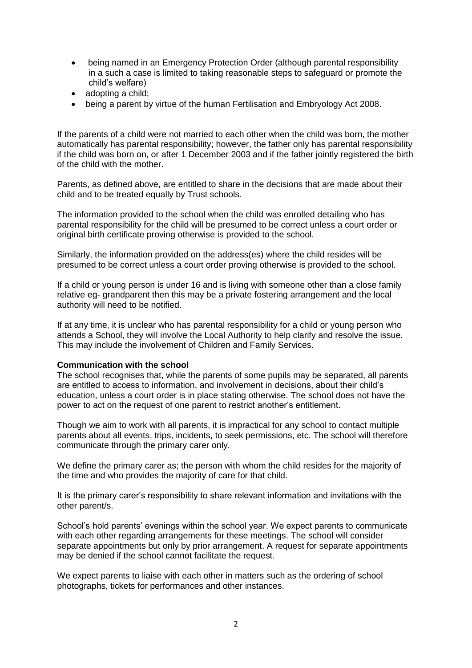- being named in an Emergency Protection Order (although parental responsibility in a such a case is limited to taking reasonable steps to safeguard or promote the child's welfare)
- adopting a child;
- being a parent by virtue of the human Fertilisation and Embryology Act 2008.

If the parents of a child were not married to each other when the child was born, the mother automatically has parental responsibility; however, the father only has parental responsibility if the child was born on, or after 1 December 2003 and if the father jointly registered the birth of the child with the mother.

Parents, as defined above, are entitled to share in the decisions that are made about their child and to be treated equally by Trust schools.

The information provided to the school when the child was enrolled detailing who has parental responsibility for the child will be presumed to be correct unless a court order or original birth certificate proving otherwise is provided to the school.

Similarly, the information provided on the address(es) where the child resides will be presumed to be correct unless a court order proving otherwise is provided to the school.

If a child or young person is under 16 and is living with someone other than a close family relative eg- grandparent then this may be a private fostering arrangement and the local authority will need to be notified.

If at any time, it is unclear who has parental responsibility for a child or young person who attends a School, they will involve the Local Authority to help clarify and resolve the issue. This may include the involvement of Children and Family Services.

#### **Communication with the school**

The school recognises that, while the parents of some pupils may be separated, all parents are entitled to access to information, and involvement in decisions, about their child's education, unless a court order is in place stating otherwise. The school does not have the power to act on the request of one parent to restrict another's entitlement.

Though we aim to work with all parents, it is impractical for any school to contact multiple parents about all events, trips, incidents, to seek permissions, etc. The school will therefore communicate through the primary carer only.

We define the primary carer as; the person with whom the child resides for the majority of the time and who provides the majority of care for that child.

It is the primary carer's responsibility to share relevant information and invitations with the other parent/s.

School's hold parents' evenings within the school year. We expect parents to communicate with each other regarding arrangements for these meetings. The school will consider separate appointments but only by prior arrangement. A request for separate appointments may be denied if the school cannot facilitate the request.

We expect parents to liaise with each other in matters such as the ordering of school photographs, tickets for performances and other instances.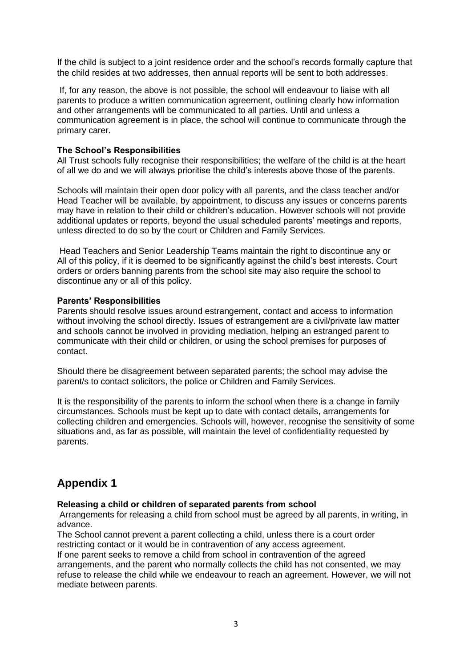If the child is subject to a joint residence order and the school's records formally capture that the child resides at two addresses, then annual reports will be sent to both addresses.

If, for any reason, the above is not possible, the school will endeavour to liaise with all parents to produce a written communication agreement, outlining clearly how information and other arrangements will be communicated to all parties. Until and unless a communication agreement is in place, the school will continue to communicate through the primary carer.

#### **The School's Responsibilities**

All Trust schools fully recognise their responsibilities; the welfare of the child is at the heart of all we do and we will always prioritise the child's interests above those of the parents.

Schools will maintain their open door policy with all parents, and the class teacher and/or Head Teacher will be available, by appointment, to discuss any issues or concerns parents may have in relation to their child or children's education. However schools will not provide additional updates or reports, beyond the usual scheduled parents' meetings and reports, unless directed to do so by the court or Children and Family Services.

Head Teachers and Senior Leadership Teams maintain the right to discontinue any or All of this policy, if it is deemed to be significantly against the child's best interests. Court orders or orders banning parents from the school site may also require the school to discontinue any or all of this policy.

#### **Parents' Responsibilities**

Parents should resolve issues around estrangement, contact and access to information without involving the school directly. Issues of estrangement are a civil/private law matter and schools cannot be involved in providing mediation, helping an estranged parent to communicate with their child or children, or using the school premises for purposes of contact.

Should there be disagreement between separated parents; the school may advise the parent/s to contact solicitors, the police or Children and Family Services.

It is the responsibility of the parents to inform the school when there is a change in family circumstances. Schools must be kept up to date with contact details, arrangements for collecting children and emergencies. Schools will, however, recognise the sensitivity of some situations and, as far as possible, will maintain the level of confidentiality requested by parents.

## **Appendix 1**

#### **Releasing a child or children of separated parents from school**

Arrangements for releasing a child from school must be agreed by all parents, in writing, in advance.

The School cannot prevent a parent collecting a child, unless there is a court order restricting contact or it would be in contravention of any access agreement.

If one parent seeks to remove a child from school in contravention of the agreed arrangements, and the parent who normally collects the child has not consented, we may refuse to release the child while we endeavour to reach an agreement. However, we will not mediate between parents.